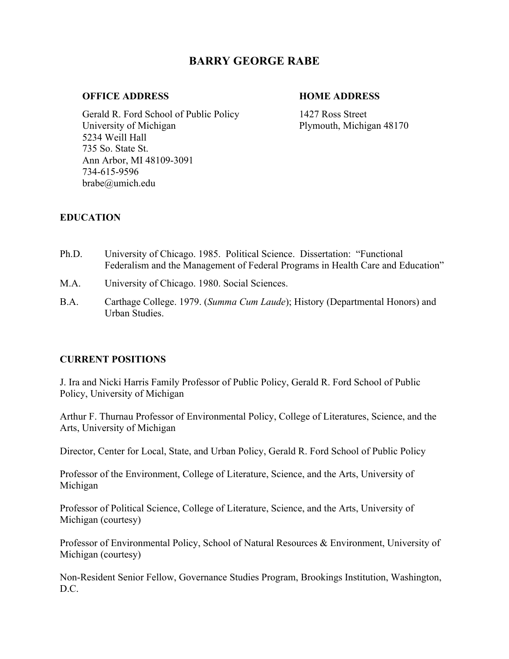# **BARRY GEORGE RABE**

#### **OFFICE ADDRESS HOME ADDRESS**

Gerald R. Ford School of Public Policy 1427 Ross Street University of Michigan Plymouth, Michigan 48170 5234 Weill Hall 735 So. State St. Ann Arbor, MI 48109-3091 734-615-9596 brabe@umich.edu

## **EDUCATION**

- Ph.D. University of Chicago. 1985. Political Science. Dissertation: "Functional Federalism and the Management of Federal Programs in Health Care and Education"
- M.A. University of Chicago. 1980. Social Sciences.
- B.A. Carthage College. 1979. (*Summa Cum Laude*); History (Departmental Honors) and Urban Studies.

## **CURRENT POSITIONS**

J. Ira and Nicki Harris Family Professor of Public Policy, Gerald R. Ford School of Public Policy, University of Michigan

Arthur F. Thurnau Professor of Environmental Policy, College of Literatures, Science, and the Arts, University of Michigan

Director, Center for Local, State, and Urban Policy, Gerald R. Ford School of Public Policy

Professor of the Environment, College of Literature, Science, and the Arts, University of Michigan

Professor of Political Science, College of Literature, Science, and the Arts, University of Michigan (courtesy)

Professor of Environmental Policy, School of Natural Resources & Environment, University of Michigan (courtesy)

Non-Resident Senior Fellow, Governance Studies Program, Brookings Institution, Washington, D.C.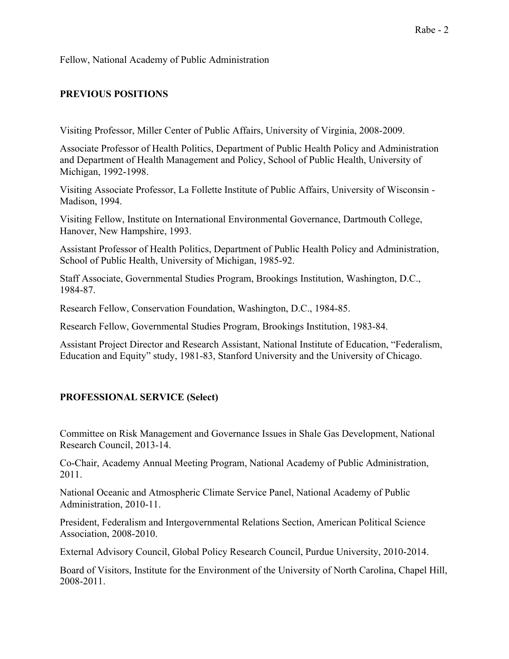Fellow, National Academy of Public Administration

## **PREVIOUS POSITIONS**

Visiting Professor, Miller Center of Public Affairs, University of Virginia, 2008-2009.

Associate Professor of Health Politics, Department of Public Health Policy and Administration and Department of Health Management and Policy, School of Public Health, University of Michigan, 1992-1998.

Visiting Associate Professor, La Follette Institute of Public Affairs, University of Wisconsin - Madison, 1994.

Visiting Fellow, Institute on International Environmental Governance, Dartmouth College, Hanover, New Hampshire, 1993.

Assistant Professor of Health Politics, Department of Public Health Policy and Administration, School of Public Health, University of Michigan, 1985-92.

Staff Associate, Governmental Studies Program, Brookings Institution, Washington, D.C., 1984-87.

Research Fellow, Conservation Foundation, Washington, D.C., 1984-85.

Research Fellow, Governmental Studies Program, Brookings Institution, 1983-84.

Assistant Project Director and Research Assistant, National Institute of Education, "Federalism, Education and Equity" study, 1981-83, Stanford University and the University of Chicago.

## **PROFESSIONAL SERVICE (Select)**

Committee on Risk Management and Governance Issues in Shale Gas Development, National Research Council, 2013-14.

Co-Chair, Academy Annual Meeting Program, National Academy of Public Administration, 2011.

National Oceanic and Atmospheric Climate Service Panel, National Academy of Public Administration, 2010-11.

President, Federalism and Intergovernmental Relations Section, American Political Science Association, 2008-2010.

External Advisory Council, Global Policy Research Council, Purdue University, 2010-2014.

Board of Visitors, Institute for the Environment of the University of North Carolina, Chapel Hill, 2008-2011.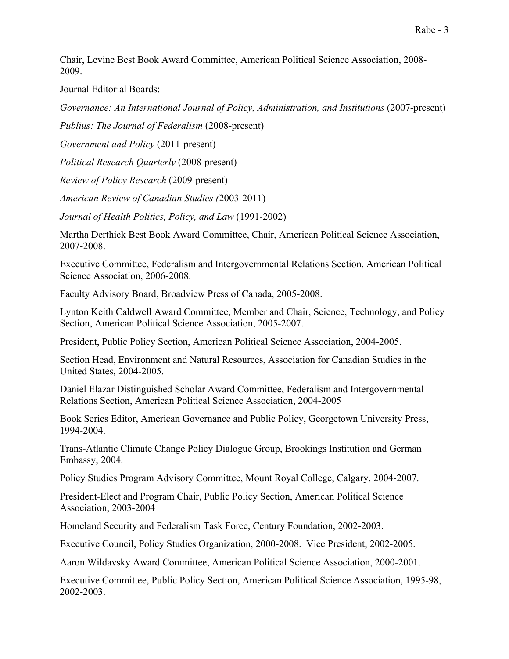Chair, Levine Best Book Award Committee, American Political Science Association, 2008- 2009.

Journal Editorial Boards:

*Governance: An International Journal of Policy, Administration, and Institutions* (2007-present)

*Publius: The Journal of Federalism* (2008-present)

*Government and Policy* (2011-present)

*Political Research Quarterly* (2008-present)

*Review of Policy Research* (2009-present)

*American Review of Canadian Studies (*2003-2011)

*Journal of Health Politics, Policy, and Law* (1991-2002)

Martha Derthick Best Book Award Committee, Chair, American Political Science Association, 2007-2008.

Executive Committee, Federalism and Intergovernmental Relations Section, American Political Science Association, 2006-2008.

Faculty Advisory Board, Broadview Press of Canada, 2005-2008.

Lynton Keith Caldwell Award Committee, Member and Chair, Science, Technology, and Policy Section, American Political Science Association, 2005-2007.

President, Public Policy Section, American Political Science Association, 2004-2005.

Section Head, Environment and Natural Resources, Association for Canadian Studies in the United States, 2004-2005.

Daniel Elazar Distinguished Scholar Award Committee, Federalism and Intergovernmental Relations Section, American Political Science Association, 2004-2005

Book Series Editor, American Governance and Public Policy, Georgetown University Press, 1994-2004.

Trans-Atlantic Climate Change Policy Dialogue Group, Brookings Institution and German Embassy, 2004.

Policy Studies Program Advisory Committee, Mount Royal College, Calgary, 2004-2007.

President-Elect and Program Chair, Public Policy Section, American Political Science Association, 2003-2004

Homeland Security and Federalism Task Force, Century Foundation, 2002-2003.

Executive Council, Policy Studies Organization, 2000-2008. Vice President, 2002-2005.

Aaron Wildavsky Award Committee, American Political Science Association, 2000-2001.

Executive Committee, Public Policy Section, American Political Science Association, 1995-98, 2002-2003.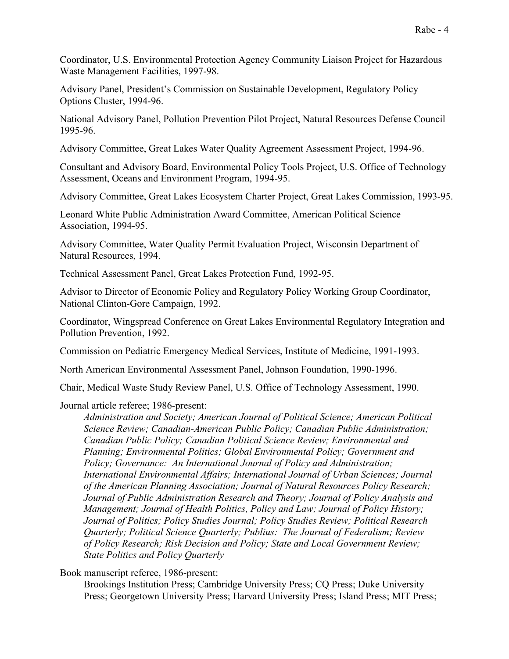Coordinator, U.S. Environmental Protection Agency Community Liaison Project for Hazardous Waste Management Facilities, 1997-98.

Advisory Panel, President's Commission on Sustainable Development, Regulatory Policy Options Cluster, 1994-96.

National Advisory Panel, Pollution Prevention Pilot Project, Natural Resources Defense Council 1995-96.

Advisory Committee, Great Lakes Water Quality Agreement Assessment Project, 1994-96.

Consultant and Advisory Board, Environmental Policy Tools Project, U.S. Office of Technology Assessment, Oceans and Environment Program, 1994-95.

Advisory Committee, Great Lakes Ecosystem Charter Project, Great Lakes Commission, 1993-95.

Leonard White Public Administration Award Committee, American Political Science Association, 1994-95.

Advisory Committee, Water Quality Permit Evaluation Project, Wisconsin Department of Natural Resources, 1994.

Technical Assessment Panel, Great Lakes Protection Fund, 1992-95.

Advisor to Director of Economic Policy and Regulatory Policy Working Group Coordinator, National Clinton-Gore Campaign, 1992.

Coordinator, Wingspread Conference on Great Lakes Environmental Regulatory Integration and Pollution Prevention, 1992.

Commission on Pediatric Emergency Medical Services, Institute of Medicine, 1991-1993.

North American Environmental Assessment Panel, Johnson Foundation, 1990-1996.

Chair, Medical Waste Study Review Panel, U.S. Office of Technology Assessment, 1990.

Journal article referee; 1986-present:

*Administration and Society; American Journal of Political Science; American Political Science Review; Canadian-American Public Policy; Canadian Public Administration; Canadian Public Policy; Canadian Political Science Review; Environmental and Planning; Environmental Politics; Global Environmental Policy; Government and Policy; Governance: An International Journal of Policy and Administration; International Environmental Affairs; International Journal of Urban Sciences; Journal of the American Planning Association; Journal of Natural Resources Policy Research; Journal of Public Administration Research and Theory; Journal of Policy Analysis and Management; Journal of Health Politics, Policy and Law; Journal of Policy History; Journal of Politics; Policy Studies Journal; Policy Studies Review; Political Research Quarterly; Political Science Quarterly; Publius: The Journal of Federalism; Review of Policy Research; Risk Decision and Policy; State and Local Government Review; State Politics and Policy Quarterly*

Book manuscript referee, 1986-present:

Brookings Institution Press; Cambridge University Press; CQ Press; Duke University Press; Georgetown University Press; Harvard University Press; Island Press; MIT Press;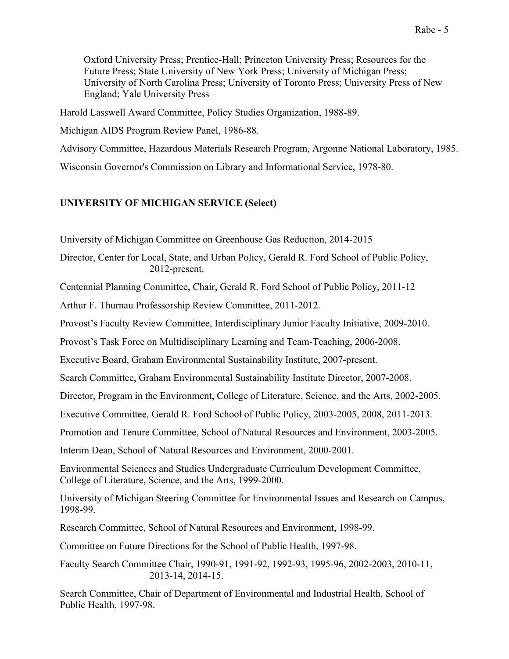Oxford University Press; Prentice-Hall; Princeton University Press; Resources for the Future Press; State University of New York Press; University of Michigan Press; University of North Carolina Press; University of Toronto Press; University Press of New England; Yale University Press

Harold Lasswell Award Committee, Policy Studies Organization, 1988-89.

Michigan AIDS Program Review Panel, 1986-88.

Advisory Committee, Hazardous Materials Research Program, Argonne National Laboratory, 1985.

Wisconsin Governor's Commission on Library and Informational Service, 1978-80.

## **UNIVERSITY OF MICHIGAN SERVICE (Select)**

University of Michigan Committee on Greenhouse Gas Reduction, 2014-2015

Director, Center for Local, State, and Urban Policy, Gerald R. Ford School of Public Policy, 2012-present.

Centennial Planning Committee, Chair, Gerald R. Ford School of Public Policy, 2011-12

Arthur F. Thurnau Professorship Review Committee, 2011-2012.

Provost's Faculty Review Committee, Interdisciplinary Junior Faculty Initiative, 2009-2010.

Provost's Task Force on Multidisciplinary Learning and Team-Teaching, 2006-2008.

Executive Board, Graham Environmental Sustainability Institute, 2007-present.

Search Committee, Graham Environmental Sustainability Institute Director, 2007-2008.

Director, Program in the Environment, College of Literature, Science, and the Arts, 2002-2005.

Executive Committee, Gerald R. Ford School of Public Policy, 2003-2005, 2008, 2011-2013.

Promotion and Tenure Committee, School of Natural Resources and Environment, 2003-2005.

Interim Dean, School of Natural Resources and Environment, 2000-2001.

Environmental Sciences and Studies Undergraduate Curriculum Development Committee, College of Literature, Science, and the Arts, 1999-2000.

University of Michigan Steering Committee for Environmental Issues and Research on Campus, 1998-99.

Research Committee, School of Natural Resources and Environment, 1998-99.

Committee on Future Directions for the School of Public Health, 1997-98.

Faculty Search Committee Chair, 1990-91, 1991-92, 1992-93, 1995-96, 2002-2003, 2010-11, 2013-14, 2014-15.

Search Committee, Chair of Department of Environmental and Industrial Health, School of Public Health, 1997-98.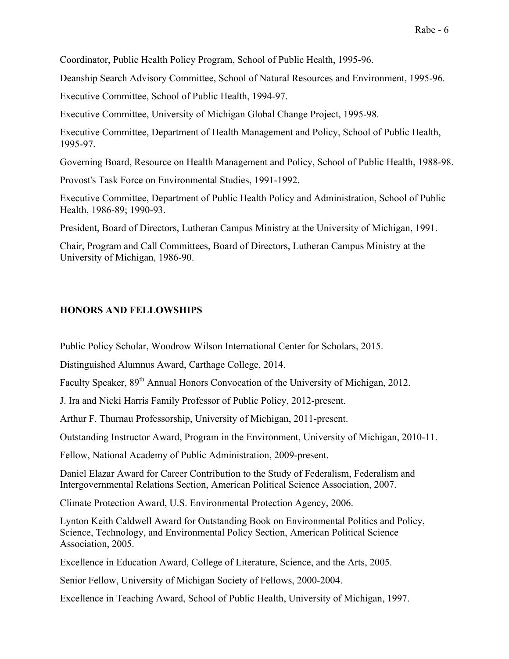Coordinator, Public Health Policy Program, School of Public Health, 1995-96.

Deanship Search Advisory Committee, School of Natural Resources and Environment, 1995-96.

Executive Committee, School of Public Health, 1994-97.

Executive Committee, University of Michigan Global Change Project, 1995-98.

Executive Committee, Department of Health Management and Policy, School of Public Health, 1995-97.

Governing Board, Resource on Health Management and Policy, School of Public Health, 1988-98.

Provost's Task Force on Environmental Studies, 1991-1992.

Executive Committee, Department of Public Health Policy and Administration, School of Public Health, 1986-89; 1990-93.

President, Board of Directors, Lutheran Campus Ministry at the University of Michigan, 1991.

Chair, Program and Call Committees, Board of Directors, Lutheran Campus Ministry at the University of Michigan, 1986-90.

## **HONORS AND FELLOWSHIPS**

Public Policy Scholar, Woodrow Wilson International Center for Scholars, 2015.

Distinguished Alumnus Award, Carthage College, 2014.

Faculty Speaker,  $89<sup>th</sup>$  Annual Honors Convocation of the University of Michigan, 2012.

J. Ira and Nicki Harris Family Professor of Public Policy, 2012-present.

Arthur F. Thurnau Professorship, University of Michigan, 2011-present.

Outstanding Instructor Award, Program in the Environment, University of Michigan, 2010-11.

Fellow, National Academy of Public Administration, 2009-present.

Daniel Elazar Award for Career Contribution to the Study of Federalism, Federalism and Intergovernmental Relations Section, American Political Science Association, 2007.

Climate Protection Award, U.S. Environmental Protection Agency, 2006.

Lynton Keith Caldwell Award for Outstanding Book on Environmental Politics and Policy, Science, Technology, and Environmental Policy Section, American Political Science Association, 2005.

Excellence in Education Award, College of Literature, Science, and the Arts, 2005.

Senior Fellow, University of Michigan Society of Fellows, 2000-2004.

Excellence in Teaching Award, School of Public Health, University of Michigan, 1997.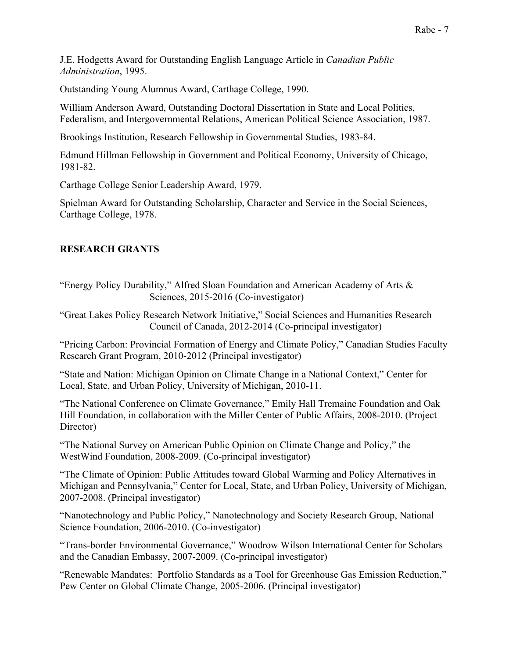J.E. Hodgetts Award for Outstanding English Language Article in *Canadian Public Administration*, 1995.

Outstanding Young Alumnus Award, Carthage College, 1990.

William Anderson Award, Outstanding Doctoral Dissertation in State and Local Politics, Federalism, and Intergovernmental Relations, American Political Science Association, 1987.

Brookings Institution, Research Fellowship in Governmental Studies, 1983-84.

Edmund Hillman Fellowship in Government and Political Economy, University of Chicago, 1981-82.

Carthage College Senior Leadership Award, 1979.

Spielman Award for Outstanding Scholarship, Character and Service in the Social Sciences, Carthage College, 1978.

## **RESEARCH GRANTS**

"Energy Policy Durability," Alfred Sloan Foundation and American Academy of Arts & Sciences, 2015-2016 (Co-investigator)

"Great Lakes Policy Research Network Initiative," Social Sciences and Humanities Research Council of Canada, 2012-2014 (Co-principal investigator)

"Pricing Carbon: Provincial Formation of Energy and Climate Policy," Canadian Studies Faculty Research Grant Program, 2010-2012 (Principal investigator)

"State and Nation: Michigan Opinion on Climate Change in a National Context," Center for Local, State, and Urban Policy, University of Michigan, 2010-11.

"The National Conference on Climate Governance," Emily Hall Tremaine Foundation and Oak Hill Foundation, in collaboration with the Miller Center of Public Affairs, 2008-2010. (Project Director)

"The National Survey on American Public Opinion on Climate Change and Policy," the WestWind Foundation, 2008-2009. (Co-principal investigator)

"The Climate of Opinion: Public Attitudes toward Global Warming and Policy Alternatives in Michigan and Pennsylvania," Center for Local, State, and Urban Policy, University of Michigan, 2007-2008. (Principal investigator)

"Nanotechnology and Public Policy," Nanotechnology and Society Research Group, National Science Foundation, 2006-2010. (Co-investigator)

"Trans-border Environmental Governance," Woodrow Wilson International Center for Scholars and the Canadian Embassy, 2007-2009. (Co-principal investigator)

"Renewable Mandates: Portfolio Standards as a Tool for Greenhouse Gas Emission Reduction," Pew Center on Global Climate Change, 2005-2006. (Principal investigator)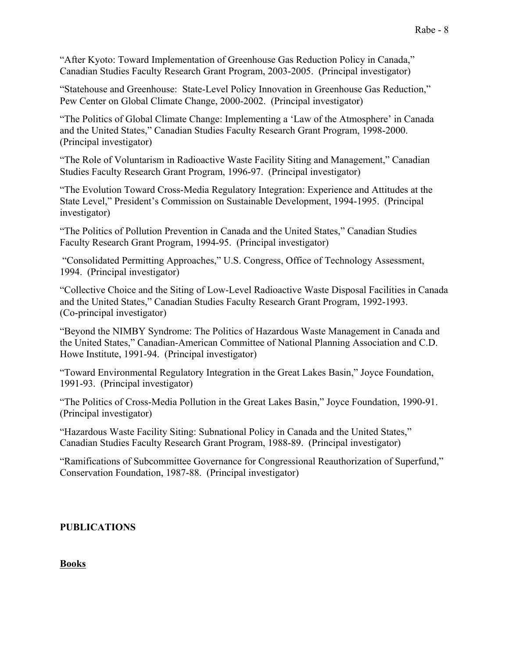"After Kyoto: Toward Implementation of Greenhouse Gas Reduction Policy in Canada," Canadian Studies Faculty Research Grant Program, 2003-2005. (Principal investigator)

"Statehouse and Greenhouse: State-Level Policy Innovation in Greenhouse Gas Reduction," Pew Center on Global Climate Change, 2000-2002. (Principal investigator)

"The Politics of Global Climate Change: Implementing a 'Law of the Atmosphere' in Canada and the United States," Canadian Studies Faculty Research Grant Program, 1998-2000. (Principal investigator)

"The Role of Voluntarism in Radioactive Waste Facility Siting and Management," Canadian Studies Faculty Research Grant Program, 1996-97. (Principal investigator)

"The Evolution Toward Cross-Media Regulatory Integration: Experience and Attitudes at the State Level," President's Commission on Sustainable Development, 1994-1995. (Principal investigator)

"The Politics of Pollution Prevention in Canada and the United States," Canadian Studies Faculty Research Grant Program, 1994-95. (Principal investigator)

"Consolidated Permitting Approaches," U.S. Congress, Office of Technology Assessment, 1994. (Principal investigator)

"Collective Choice and the Siting of Low-Level Radioactive Waste Disposal Facilities in Canada and the United States," Canadian Studies Faculty Research Grant Program, 1992-1993. (Co-principal investigator)

"Beyond the NIMBY Syndrome: The Politics of Hazardous Waste Management in Canada and the United States," Canadian-American Committee of National Planning Association and C.D. Howe Institute, 1991-94. (Principal investigator)

"Toward Environmental Regulatory Integration in the Great Lakes Basin," Joyce Foundation, 1991-93. (Principal investigator)

"The Politics of Cross-Media Pollution in the Great Lakes Basin," Joyce Foundation, 1990-91. (Principal investigator)

"Hazardous Waste Facility Siting: Subnational Policy in Canada and the United States," Canadian Studies Faculty Research Grant Program, 1988-89. (Principal investigator)

"Ramifications of Subcommittee Governance for Congressional Reauthorization of Superfund," Conservation Foundation, 1987-88. (Principal investigator)

## **PUBLICATIONS**

## **Books**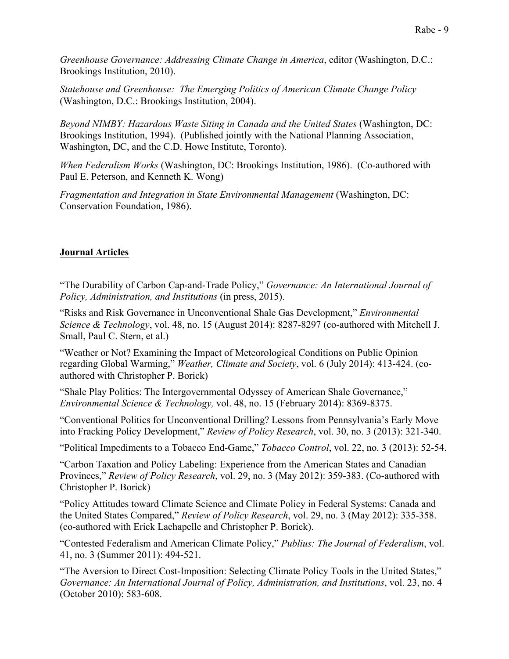*Greenhouse Governance: Addressing Climate Change in America*, editor (Washington, D.C.: Brookings Institution, 2010).

*Statehouse and Greenhouse: The Emerging Politics of American Climate Change Policy* (Washington, D.C.: Brookings Institution, 2004).

*Beyond NIMBY: Hazardous Waste Siting in Canada and the United States* (Washington, DC: Brookings Institution, 1994). (Published jointly with the National Planning Association, Washington, DC, and the C.D. Howe Institute, Toronto).

*When Federalism Works* (Washington, DC: Brookings Institution, 1986). (Co-authored with Paul E. Peterson, and Kenneth K. Wong)

*Fragmentation and Integration in State Environmental Management* (Washington, DC: Conservation Foundation, 1986).

## **Journal Articles**

"The Durability of Carbon Cap-and-Trade Policy," *Governance: An International Journal of Policy, Administration, and Institutions* (in press, 2015).

"Risks and Risk Governance in Unconventional Shale Gas Development," *Environmental Science & Technology*, vol. 48, no. 15 (August 2014): 8287-8297 (co-authored with Mitchell J. Small, Paul C. Stern, et al.)

"Weather or Not? Examining the Impact of Meteorological Conditions on Public Opinion regarding Global Warming," *Weather, Climate and Society*, vol. 6 (July 2014): 413-424. (coauthored with Christopher P. Borick)

"Shale Play Politics: The Intergovernmental Odyssey of American Shale Governance," *Environmental Science & Technology,* vol. 48, no. 15 (February 2014): 8369-8375.

"Conventional Politics for Unconventional Drilling? Lessons from Pennsylvania's Early Move into Fracking Policy Development," *Review of Policy Research*, vol. 30, no. 3 (2013): 321-340.

"Political Impediments to a Tobacco End-Game," *Tobacco Control*, vol. 22, no. 3 (2013): 52-54.

"Carbon Taxation and Policy Labeling: Experience from the American States and Canadian Provinces," *Review of Policy Research*, vol. 29, no. 3 (May 2012): 359-383. (Co-authored with Christopher P. Borick)

"Policy Attitudes toward Climate Science and Climate Policy in Federal Systems: Canada and the United States Compared," *Review of Policy Research*, vol. 29, no. 3 (May 2012): 335-358. (co-authored with Erick Lachapelle and Christopher P. Borick).

"Contested Federalism and American Climate Policy," *Publius: The Journal of Federalism*, vol. 41, no. 3 (Summer 2011): 494-521.

"The Aversion to Direct Cost-Imposition: Selecting Climate Policy Tools in the United States," *Governance: An International Journal of Policy, Administration, and Institutions*, vol. 23, no. 4 (October 2010): 583-608.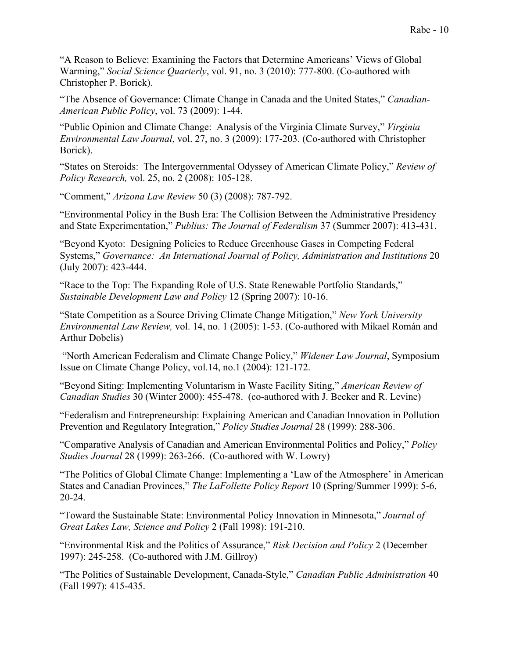"A Reason to Believe: Examining the Factors that Determine Americans' Views of Global Warming," *Social Science Quarterly*, vol. 91, no. 3 (2010): 777-800. (Co-authored with Christopher P. Borick).

"The Absence of Governance: Climate Change in Canada and the United States," *Canadian-American Public Policy*, vol. 73 (2009): 1-44.

"Public Opinion and Climate Change: Analysis of the Virginia Climate Survey," *Virginia Environmental Law Journal*, vol. 27, no. 3 (2009): 177-203. (Co-authored with Christopher Borick).

"States on Steroids: The Intergovernmental Odyssey of American Climate Policy," *Review of Policy Research,* vol. 25, no. 2 (2008): 105-128.

"Comment," *Arizona Law Review* 50 (3) (2008): 787-792.

"Environmental Policy in the Bush Era: The Collision Between the Administrative Presidency and State Experimentation," *Publius: The Journal of Federalism* 37 (Summer 2007): 413-431.

"Beyond Kyoto: Designing Policies to Reduce Greenhouse Gases in Competing Federal Systems," *Governance: An International Journal of Policy, Administration and Institutions* 20 (July 2007): 423-444.

"Race to the Top: The Expanding Role of U.S. State Renewable Portfolio Standards," *Sustainable Development Law and Policy* 12 (Spring 2007): 10-16.

"State Competition as a Source Driving Climate Change Mitigation," *New York University Environmental Law Review,* vol. 14, no. 1 (2005): 1-53. (Co-authored with Mikael Román and Arthur Dobelis)

"North American Federalism and Climate Change Policy," *Widener Law Journal*, Symposium Issue on Climate Change Policy, vol.14, no.1 (2004): 121-172.

"Beyond Siting: Implementing Voluntarism in Waste Facility Siting," *American Review of Canadian Studies* 30 (Winter 2000): 455-478. (co-authored with J. Becker and R. Levine)

"Federalism and Entrepreneurship: Explaining American and Canadian Innovation in Pollution Prevention and Regulatory Integration," *Policy Studies Journal* 28 (1999): 288-306.

"Comparative Analysis of Canadian and American Environmental Politics and Policy," *Policy Studies Journal* 28 (1999): 263-266. (Co-authored with W. Lowry)

"The Politics of Global Climate Change: Implementing a 'Law of the Atmosphere' in American States and Canadian Provinces," *The LaFollette Policy Report* 10 (Spring/Summer 1999): 5-6, 20-24.

"Toward the Sustainable State: Environmental Policy Innovation in Minnesota," *Journal of Great Lakes Law, Science and Policy* 2 (Fall 1998): 191-210.

"Environmental Risk and the Politics of Assurance," *Risk Decision and Policy* 2 (December 1997): 245-258. (Co-authored with J.M. Gillroy)

"The Politics of Sustainable Development, Canada-Style," *Canadian Public Administration* 40 (Fall 1997): 415-435.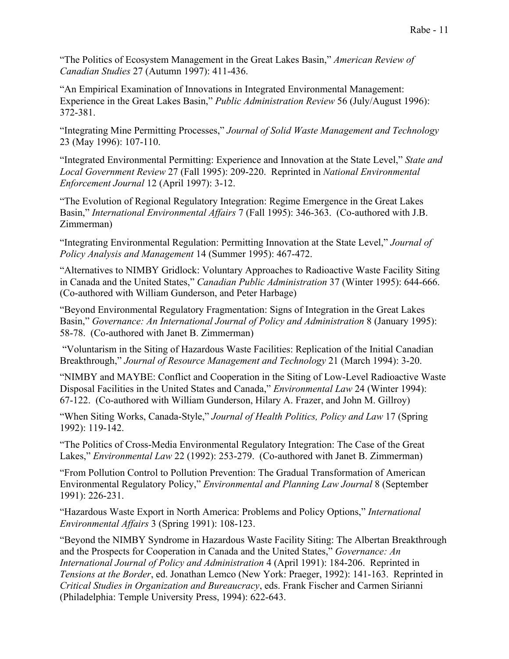"The Politics of Ecosystem Management in the Great Lakes Basin," *American Review of Canadian Studies* 27 (Autumn 1997): 411-436.

"An Empirical Examination of Innovations in Integrated Environmental Management: Experience in the Great Lakes Basin," *Public Administration Review* 56 (July/August 1996): 372-381.

"Integrating Mine Permitting Processes," *Journal of Solid Waste Management and Technology* 23 (May 1996): 107-110.

"Integrated Environmental Permitting: Experience and Innovation at the State Level," *State and Local Government Review* 27 (Fall 1995): 209-220. Reprinted in *National Environmental Enforcement Journal* 12 (April 1997): 3-12.

"The Evolution of Regional Regulatory Integration: Regime Emergence in the Great Lakes Basin," *International Environmental Affairs* 7 (Fall 1995): 346-363. (Co-authored with J.B. Zimmerman)

"Integrating Environmental Regulation: Permitting Innovation at the State Level," *Journal of Policy Analysis and Management* 14 (Summer 1995): 467-472.

"Alternatives to NIMBY Gridlock: Voluntary Approaches to Radioactive Waste Facility Siting in Canada and the United States," *Canadian Public Administration* 37 (Winter 1995): 644-666. (Co-authored with William Gunderson, and Peter Harbage)

"Beyond Environmental Regulatory Fragmentation: Signs of Integration in the Great Lakes Basin," *Governance: An International Journal of Policy and Administration* 8 (January 1995): 58-78. (Co-authored with Janet B. Zimmerman)

"Voluntarism in the Siting of Hazardous Waste Facilities: Replication of the Initial Canadian Breakthrough," *Journal of Resource Management and Technology* 21 (March 1994): 3-20.

"NIMBY and MAYBE: Conflict and Cooperation in the Siting of Low-Level Radioactive Waste Disposal Facilities in the United States and Canada," *Environmental Law* 24 (Winter 1994): 67-122. (Co-authored with William Gunderson, Hilary A. Frazer, and John M. Gillroy)

"When Siting Works, Canada-Style," *Journal of Health Politics, Policy and Law* 17 (Spring 1992): 119-142.

"The Politics of Cross-Media Environmental Regulatory Integration: The Case of the Great Lakes," *Environmental Law* 22 (1992): 253-279. (Co-authored with Janet B. Zimmerman)

"From Pollution Control to Pollution Prevention: The Gradual Transformation of American Environmental Regulatory Policy," *Environmental and Planning Law Journal* 8 (September 1991): 226-231.

"Hazardous Waste Export in North America: Problems and Policy Options," *International Environmental Affairs* 3 (Spring 1991): 108-123.

"Beyond the NIMBY Syndrome in Hazardous Waste Facility Siting: The Albertan Breakthrough and the Prospects for Cooperation in Canada and the United States," *Governance: An International Journal of Policy and Administration* 4 (April 1991): 184-206. Reprinted in *Tensions at the Border*, ed. Jonathan Lemco (New York: Praeger, 1992): 141-163. Reprinted in *Critical Studies in Organization and Bureaucracy*, eds. Frank Fischer and Carmen Sirianni (Philadelphia: Temple University Press, 1994): 622-643.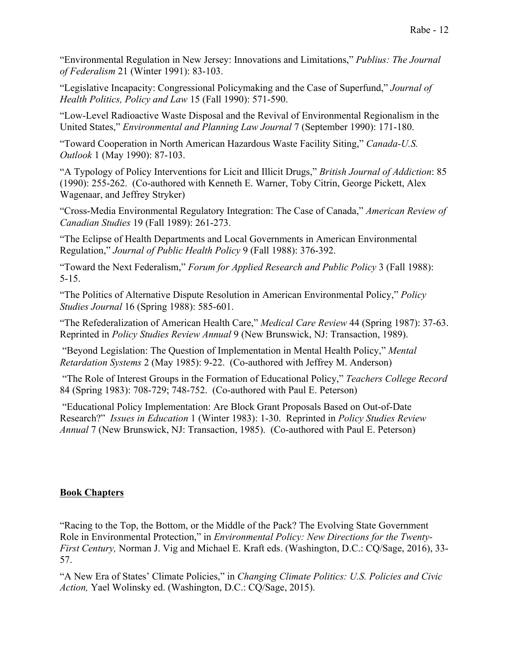"Environmental Regulation in New Jersey: Innovations and Limitations," *Publius: The Journal of Federalism* 21 (Winter 1991): 83-103.

"Legislative Incapacity: Congressional Policymaking and the Case of Superfund," *Journal of Health Politics, Policy and Law* 15 (Fall 1990): 571-590.

"Low-Level Radioactive Waste Disposal and the Revival of Environmental Regionalism in the United States," *Environmental and Planning Law Journal* 7 (September 1990): 171-180.

"Toward Cooperation in North American Hazardous Waste Facility Siting," *Canada-U.S. Outlook* 1 (May 1990): 87-103.

"A Typology of Policy Interventions for Licit and Illicit Drugs," *British Journal of Addiction*: 85 (1990): 255-262. (Co-authored with Kenneth E. Warner, Toby Citrin, George Pickett, Alex Wagenaar, and Jeffrey Stryker)

"Cross-Media Environmental Regulatory Integration: The Case of Canada," *American Review of Canadian Studies* 19 (Fall 1989): 261-273.

"The Eclipse of Health Departments and Local Governments in American Environmental Regulation," *Journal of Public Health Policy* 9 (Fall 1988): 376-392.

"Toward the Next Federalism," *Forum for Applied Research and Public Policy* 3 (Fall 1988): 5-15.

"The Politics of Alternative Dispute Resolution in American Environmental Policy," *Policy Studies Journal* 16 (Spring 1988): 585-601.

"The Refederalization of American Health Care," *Medical Care Review* 44 (Spring 1987): 37-63. Reprinted in *Policy Studies Review Annual* 9 (New Brunswick, NJ: Transaction, 1989).

"Beyond Legislation: The Question of Implementation in Mental Health Policy," *Mental Retardation Systems* 2 (May 1985): 9-22. (Co-authored with Jeffrey M. Anderson)

"The Role of Interest Groups in the Formation of Educational Policy," *Teachers College Record* 84 (Spring 1983): 708-729; 748-752. (Co-authored with Paul E. Peterson)

"Educational Policy Implementation: Are Block Grant Proposals Based on Out-of-Date Research?" *Issues in Education* 1 (Winter 1983): 1-30. Reprinted in *Policy Studies Review Annual* 7 (New Brunswick, NJ: Transaction, 1985). (Co-authored with Paul E. Peterson)

## **Book Chapters**

"Racing to the Top, the Bottom, or the Middle of the Pack? The Evolving State Government Role in Environmental Protection," in *Environmental Policy: New Directions for the Twenty-First Century,* Norman J. Vig and Michael E. Kraft eds. (Washington, D.C.: CQ/Sage, 2016), 33- 57.

"A New Era of States' Climate Policies," in *Changing Climate Politics: U.S. Policies and Civic Action,* Yael Wolinsky ed. (Washington, D.C.: CQ/Sage, 2015).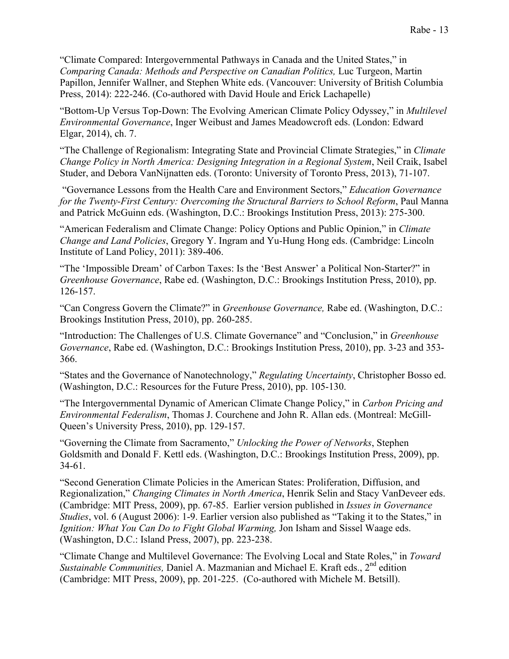"Climate Compared: Intergovernmental Pathways in Canada and the United States," in *Comparing Canada: Methods and Perspective on Canadian Politics,* Luc Turgeon, Martin Papillon, Jennifer Wallner, and Stephen White eds. (Vancouver: University of British Columbia Press, 2014): 222-246. (Co-authored with David Houle and Erick Lachapelle)

"Bottom-Up Versus Top-Down: The Evolving American Climate Policy Odyssey," in *Multilevel Environmental Governance*, Inger Weibust and James Meadowcroft eds. (London: Edward Elgar, 2014), ch. 7.

"The Challenge of Regionalism: Integrating State and Provincial Climate Strategies," in *Climate Change Policy in North America: Designing Integration in a Regional System*, Neil Craik, Isabel Studer, and Debora VanNijnatten eds. (Toronto: University of Toronto Press, 2013), 71-107.

"Governance Lessons from the Health Care and Environment Sectors," *Education Governance for the Twenty-First Century: Overcoming the Structural Barriers to School Reform*, Paul Manna and Patrick McGuinn eds. (Washington, D.C.: Brookings Institution Press, 2013): 275-300.

"American Federalism and Climate Change: Policy Options and Public Opinion," in *Climate Change and Land Policies*, Gregory Y. Ingram and Yu-Hung Hong eds. (Cambridge: Lincoln Institute of Land Policy, 2011): 389-406.

"The 'Impossible Dream' of Carbon Taxes: Is the 'Best Answer' a Political Non-Starter?" in *Greenhouse Governance*, Rabe ed. (Washington, D.C.: Brookings Institution Press, 2010), pp. 126-157.

"Can Congress Govern the Climate?" in *Greenhouse Governance,* Rabe ed. (Washington, D.C.: Brookings Institution Press, 2010), pp. 260-285.

"Introduction: The Challenges of U.S. Climate Governance" and "Conclusion," in *Greenhouse Governance*, Rabe ed. (Washington, D.C.: Brookings Institution Press, 2010), pp. 3-23 and 353- 366.

"States and the Governance of Nanotechnology," *Regulating Uncertainty*, Christopher Bosso ed. (Washington, D.C.: Resources for the Future Press, 2010), pp. 105-130.

"The Intergovernmental Dynamic of American Climate Change Policy," in *Carbon Pricing and Environmental Federalism*, Thomas J. Courchene and John R. Allan eds. (Montreal: McGill-Queen's University Press, 2010), pp. 129-157.

"Governing the Climate from Sacramento," *Unlocking the Power of Networks*, Stephen Goldsmith and Donald F. Kettl eds. (Washington, D.C.: Brookings Institution Press, 2009), pp. 34-61.

"Second Generation Climate Policies in the American States: Proliferation, Diffusion, and Regionalization," *Changing Climates in North America*, Henrik Selin and Stacy VanDeveer eds. (Cambridge: MIT Press, 2009), pp. 67-85. Earlier version published in *Issues in Governance Studies*, vol. 6 (August 2006): 1-9. Earlier version also published as "Taking it to the States," in *Ignition: What You Can Do to Fight Global Warming,* Jon Isham and Sissel Waage eds. (Washington, D.C.: Island Press, 2007), pp. 223-238.

"Climate Change and Multilevel Governance: The Evolving Local and State Roles," in *Toward Sustainable Communities, Daniel A. Mazmanian and Michael E. Kraft eds., 2<sup>nd</sup> edition* (Cambridge: MIT Press, 2009), pp. 201-225. (Co-authored with Michele M. Betsill).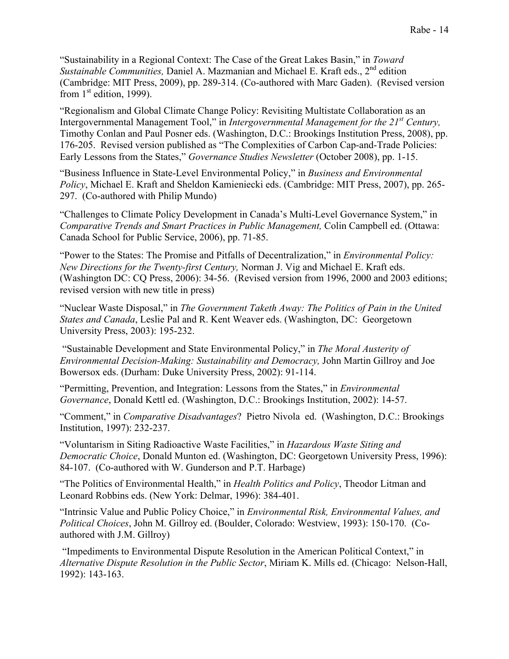"Sustainability in a Regional Context: The Case of the Great Lakes Basin," in *Toward Sustainable Communities, Daniel A. Mazmanian and Michael E. Kraft eds., 2<sup>nd</sup> edition* (Cambridge: MIT Press, 2009), pp. 289-314. (Co-authored with Marc Gaden). (Revised version from  $1<sup>st</sup>$  edition, 1999).

"Regionalism and Global Climate Change Policy: Revisiting Multistate Collaboration as an Intergovernmental Management Tool," in *Intergovernmental Management for the 21st Century,*  Timothy Conlan and Paul Posner eds. (Washington, D.C.: Brookings Institution Press, 2008), pp. 176-205. Revised version published as "The Complexities of Carbon Cap-and-Trade Policies: Early Lessons from the States," *Governance Studies Newsletter* (October 2008), pp. 1-15.

"Business Influence in State-Level Environmental Policy," in *Business and Environmental Policy*, Michael E. Kraft and Sheldon Kamieniecki eds. (Cambridge: MIT Press, 2007), pp. 265- 297. (Co-authored with Philip Mundo)

"Challenges to Climate Policy Development in Canada's Multi-Level Governance System," in *Comparative Trends and Smart Practices in Public Management,* Colin Campbell ed. (Ottawa: Canada School for Public Service, 2006), pp. 71-85.

"Power to the States: The Promise and Pitfalls of Decentralization," in *Environmental Policy: New Directions for the Twenty-first Century,* Norman J. Vig and Michael E. Kraft eds. (Washington DC: CQ Press, 2006): 34-56. (Revised version from 1996, 2000 and 2003 editions; revised version with new title in press)

"Nuclear Waste Disposal," in *The Government Taketh Away: The Politics of Pain in the United States and Canada*, Leslie Pal and R. Kent Weaver eds. (Washington, DC: Georgetown University Press, 2003): 195-232.

"Sustainable Development and State Environmental Policy," in *The Moral Austerity of Environmental Decision-Making: Sustainability and Democracy,* John Martin Gillroy and Joe Bowersox eds. (Durham: Duke University Press, 2002): 91-114.

"Permitting, Prevention, and Integration: Lessons from the States," in *Environmental Governance*, Donald Kettl ed. (Washington, D.C.: Brookings Institution, 2002): 14-57.

"Comment," in *Comparative Disadvantages*? Pietro Nivola ed. (Washington, D.C.: Brookings Institution, 1997): 232-237.

"Voluntarism in Siting Radioactive Waste Facilities," in *Hazardous Waste Siting and Democratic Choice*, Donald Munton ed. (Washington, DC: Georgetown University Press, 1996): 84-107. (Co-authored with W. Gunderson and P.T. Harbage)

"The Politics of Environmental Health," in *Health Politics and Policy*, Theodor Litman and Leonard Robbins eds. (New York: Delmar, 1996): 384-401.

"Intrinsic Value and Public Policy Choice," in *Environmental Risk, Environmental Values, and Political Choices*, John M. Gillroy ed. (Boulder, Colorado: Westview, 1993): 150-170. (Coauthored with J.M. Gillroy)

"Impediments to Environmental Dispute Resolution in the American Political Context," in *Alternative Dispute Resolution in the Public Sector*, Miriam K. Mills ed. (Chicago: Nelson-Hall, 1992): 143-163.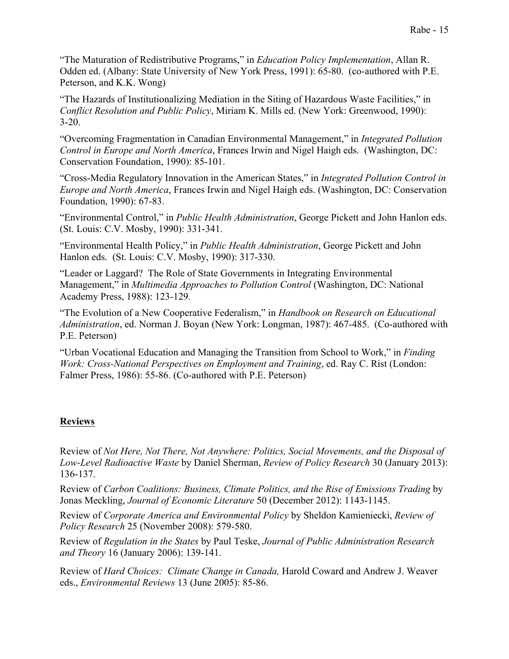"The Maturation of Redistributive Programs," in *Education Policy Implementation*, Allan R. Odden ed. (Albany: State University of New York Press, 1991): 65-80. (co-authored with P.E. Peterson, and K.K. Wong)

"The Hazards of Institutionalizing Mediation in the Siting of Hazardous Waste Facilities," in *Conflict Resolution and Public Policy*, Miriam K. Mills ed. (New York: Greenwood, 1990): 3-20.

"Overcoming Fragmentation in Canadian Environmental Management," in *Integrated Pollution Control in Europe and North America*, Frances Irwin and Nigel Haigh eds. (Washington, DC: Conservation Foundation, 1990): 85-101.

"Cross-Media Regulatory Innovation in the American States," in *Integrated Pollution Control in Europe and North America*, Frances Irwin and Nigel Haigh eds. (Washington, DC: Conservation Foundation, 1990): 67-83.

"Environmental Control," in *Public Health Administration*, George Pickett and John Hanlon eds. (St. Louis: C.V. Mosby, 1990): 331-341.

"Environmental Health Policy," in *Public Health Administration*, George Pickett and John Hanlon eds. (St. Louis: C.V. Mosby, 1990): 317-330.

"Leader or Laggard? The Role of State Governments in Integrating Environmental Management," in *Multimedia Approaches to Pollution Control* (Washington, DC: National Academy Press, 1988): 123-129.

"The Evolution of a New Cooperative Federalism," in *Handbook on Research on Educational Administration*, ed. Norman J. Boyan (New York: Longman, 1987): 467-485. (Co-authored with P.E. Peterson)

"Urban Vocational Education and Managing the Transition from School to Work," in *Finding Work: Cross-National Perspectives on Employment and Training*, ed. Ray C. Rist (London: Falmer Press, 1986): 55-86. (Co-authored with P.E. Peterson)

## **Reviews**

Review of *Not Here, Not There, Not Anywhere: Politics, Social Movements, and the Disposal of Low-Level Radioactive Waste* by Daniel Sherman, *Review of Policy Research* 30 (January 2013): 136-137.

Review of *Carbon Coalitions: Business, Climate Politics, and the Rise of Emissions Trading* by Jonas Meckling, *Journal of Economic Literature* 50 (December 2012): 1143-1145.

Review of *Corporate America and Environmental Policy* by Sheldon Kamieniecki, *Review of Policy Research* 25 (November 2008): 579-580.

Review of *Regulation in the States* by Paul Teske, *Journal of Public Administration Research and Theory* 16 (January 2006): 139-141.

Review of *Hard Choices: Climate Change in Canada,* Harold Coward and Andrew J. Weaver eds., *Environmental Reviews* 13 (June 2005): 85-86.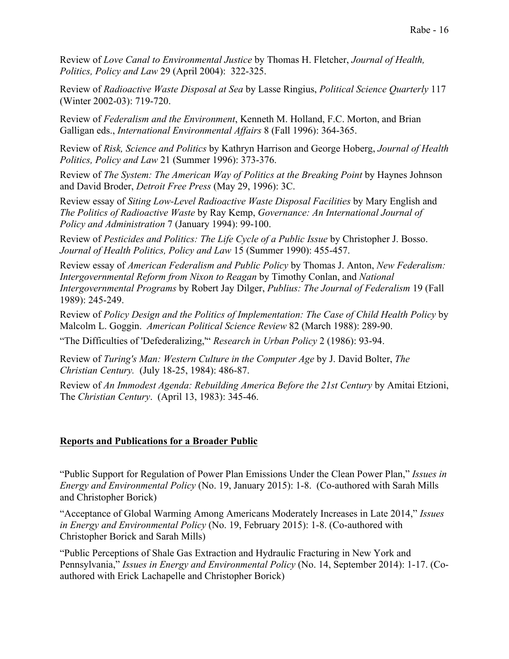Review of *Love Canal to Environmental Justice* by Thomas H. Fletcher, *Journal of Health, Politics, Policy and Law* 29 (April 2004): 322-325.

Review of *Radioactive Waste Disposal at Sea* by Lasse Ringius, *Political Science Quarterly* 117 (Winter 2002-03): 719-720.

Review of *Federalism and the Environment*, Kenneth M. Holland, F.C. Morton, and Brian Galligan eds., *International Environmental Affairs* 8 (Fall 1996): 364-365.

Review of *Risk, Science and Politics* by Kathryn Harrison and George Hoberg, *Journal of Health Politics, Policy and Law* 21 (Summer 1996): 373-376.

Review of *The System: The American Way of Politics at the Breaking Point* by Haynes Johnson and David Broder, *Detroit Free Press* (May 29, 1996): 3C.

Review essay of *Siting Low-Level Radioactive Waste Disposal Facilities* by Mary English and *The Politics of Radioactive Waste* by Ray Kemp, *Governance: An International Journal of Policy and Administration* 7 (January 1994): 99-100.

Review of *Pesticides and Politics: The Life Cycle of a Public Issue* by Christopher J. Bosso. *Journal of Health Politics, Policy and Law* 15 (Summer 1990): 455-457.

Review essay of *American Federalism and Public Policy* by Thomas J. Anton, *New Federalism: Intergovernmental Reform from Nixon to Reagan* by Timothy Conlan, and *National Intergovernmental Programs* by Robert Jay Dilger, *Publius: The Journal of Federalism* 19 (Fall 1989): 245-249.

Review of *Policy Design and the Politics of Implementation: The Case of Child Health Policy* by Malcolm L. Goggin. *American Political Science Review* 82 (March 1988): 289-90.

"The Difficulties of 'Defederalizing,'" *Research in Urban Policy* 2 (1986): 93-94.

Review of *Turing's Man: Western Culture in the Computer Age* by J. David Bolter, *The Christian Century.* (July 18-25, 1984): 486-87.

Review of *An Immodest Agenda: Rebuilding America Before the 21st Century* by Amitai Etzioni, The *Christian Century*. (April 13, 1983): 345-46.

## **Reports and Publications for a Broader Public**

"Public Support for Regulation of Power Plan Emissions Under the Clean Power Plan," *Issues in Energy and Environmental Policy* (No. 19, January 2015): 1-8. (Co-authored with Sarah Mills and Christopher Borick)

"Acceptance of Global Warming Among Americans Moderately Increases in Late 2014," *Issues in Energy and Environmental Policy* (No. 19, February 2015): 1-8. (Co-authored with Christopher Borick and Sarah Mills)

"Public Perceptions of Shale Gas Extraction and Hydraulic Fracturing in New York and Pennsylvania," *Issues in Energy and Environmental Policy* (No. 14, September 2014): 1-17. (Coauthored with Erick Lachapelle and Christopher Borick)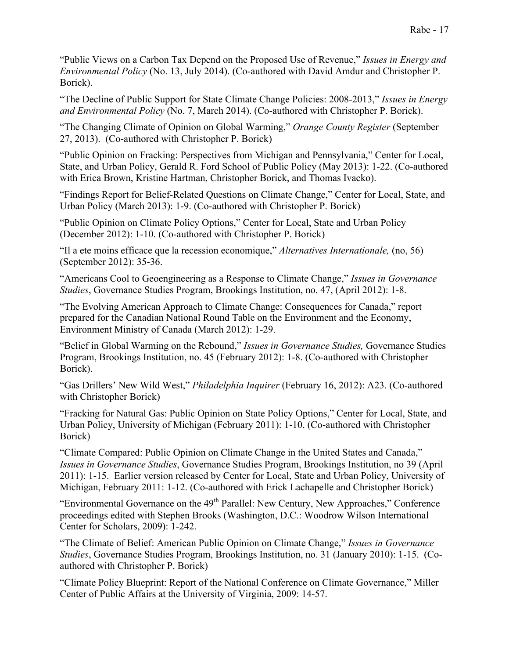"Public Views on a Carbon Tax Depend on the Proposed Use of Revenue," *Issues in Energy and Environmental Policy* (No. 13, July 2014). (Co-authored with David Amdur and Christopher P. Borick).

"The Decline of Public Support for State Climate Change Policies: 2008-2013," *Issues in Energy and Environmental Policy* (No. 7, March 2014). (Co-authored with Christopher P. Borick).

"The Changing Climate of Opinion on Global Warming," *Orange County Register* (September 27, 2013). (Co-authored with Christopher P. Borick)

"Public Opinion on Fracking: Perspectives from Michigan and Pennsylvania," Center for Local, State, and Urban Policy, Gerald R. Ford School of Public Policy (May 2013): 1-22. (Co-authored with Erica Brown, Kristine Hartman, Christopher Borick, and Thomas Ivacko).

"Findings Report for Belief-Related Questions on Climate Change," Center for Local, State, and Urban Policy (March 2013): 1-9. (Co-authored with Christopher P. Borick)

"Public Opinion on Climate Policy Options," Center for Local, State and Urban Policy (December 2012): 1-10. (Co-authored with Christopher P. Borick)

"Il a ete moins efficace que la recession economique," *Alternatives Internationale,* (no, 56) (September 2012): 35-36.

"Americans Cool to Geoengineering as a Response to Climate Change," *Issues in Governance Studies*, Governance Studies Program, Brookings Institution, no. 47, (April 2012): 1-8.

"The Evolving American Approach to Climate Change: Consequences for Canada," report prepared for the Canadian National Round Table on the Environment and the Economy, Environment Ministry of Canada (March 2012): 1-29.

"Belief in Global Warming on the Rebound," *Issues in Governance Studies,* Governance Studies Program, Brookings Institution, no. 45 (February 2012): 1-8. (Co-authored with Christopher Borick).

"Gas Drillers' New Wild West," *Philadelphia Inquirer* (February 16, 2012): A23. (Co-authored with Christopher Borick)

"Fracking for Natural Gas: Public Opinion on State Policy Options," Center for Local, State, and Urban Policy, University of Michigan (February 2011): 1-10. (Co-authored with Christopher Borick)

"Climate Compared: Public Opinion on Climate Change in the United States and Canada," *Issues in Governance Studies*, Governance Studies Program, Brookings Institution, no 39 (April 2011): 1-15. Earlier version released by Center for Local, State and Urban Policy, University of Michigan, February 2011: 1-12. (Co-authored with Erick Lachapelle and Christopher Borick)

"Environmental Governance on the 49<sup>th</sup> Parallel: New Century, New Approaches," Conference proceedings edited with Stephen Brooks (Washington, D.C.: Woodrow Wilson International Center for Scholars, 2009): 1-242.

"The Climate of Belief: American Public Opinion on Climate Change," *Issues in Governance Studies*, Governance Studies Program, Brookings Institution, no. 31 (January 2010): 1-15. (Coauthored with Christopher P. Borick)

"Climate Policy Blueprint: Report of the National Conference on Climate Governance," Miller Center of Public Affairs at the University of Virginia, 2009: 14-57.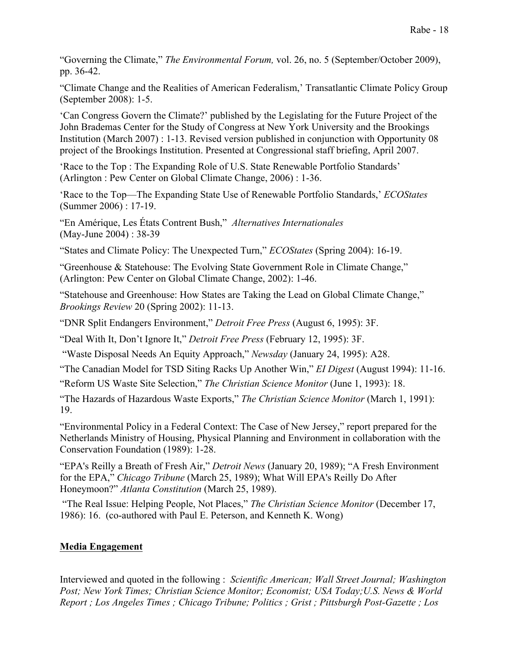"Governing the Climate," *The Environmental Forum,* vol. 26, no. 5 (September/October 2009), pp. 36-42.

"Climate Change and the Realities of American Federalism,' Transatlantic Climate Policy Group (September 2008): 1-5.

'Can Congress Govern the Climate?' published by the Legislating for the Future Project of the John Brademas Center for the Study of Congress at New York University and the Brookings Institution (March 2007) : 1-13. Revised version published in conjunction with Opportunity 08 project of the Brookings Institution. Presented at Congressional staff briefing, April 2007.

'Race to the Top : The Expanding Role of U.S. State Renewable Portfolio Standards' (Arlington : Pew Center on Global Climate Change, 2006) : 1-36.

'Race to the Top—The Expanding State Use of Renewable Portfolio Standards,' *ECOStates* (Summer 2006) : 17-19.

"En Amérique, Les États Contrent Bush," *Alternatives Internationales*  (May-June 2004) : 38-39

"States and Climate Policy: The Unexpected Turn," *ECOStates* (Spring 2004): 16-19.

"Greenhouse & Statehouse: The Evolving State Government Role in Climate Change," (Arlington: Pew Center on Global Climate Change, 2002): 1-46.

"Statehouse and Greenhouse: How States are Taking the Lead on Global Climate Change," *Brookings Review* 20 (Spring 2002): 11-13.

"DNR Split Endangers Environment," *Detroit Free Press* (August 6, 1995): 3F.

"Deal With It, Don't Ignore It," *Detroit Free Press* (February 12, 1995): 3F.

"Waste Disposal Needs An Equity Approach," *Newsday* (January 24, 1995): A28.

"The Canadian Model for TSD Siting Racks Up Another Win," *EI Digest* (August 1994): 11-16.

"Reform US Waste Site Selection," *The Christian Science Monitor* (June 1, 1993): 18.

"The Hazards of Hazardous Waste Exports," *The Christian Science Monitor* (March 1, 1991): 19.

"Environmental Policy in a Federal Context: The Case of New Jersey," report prepared for the Netherlands Ministry of Housing, Physical Planning and Environment in collaboration with the Conservation Foundation (1989): 1-28.

"EPA's Reilly a Breath of Fresh Air," *Detroit News* (January 20, 1989); "A Fresh Environment for the EPA," *Chicago Tribune* (March 25, 1989); What Will EPA's Reilly Do After Honeymoon?" *Atlanta Constitution* (March 25, 1989).

"The Real Issue: Helping People, Not Places," *The Christian Science Monitor* (December 17, 1986): 16. (co-authored with Paul E. Peterson, and Kenneth K. Wong)

## **Media Engagement**

Interviewed and quoted in the following : *Scientific American; Wall Street Journal; Washington Post; New York Times; Christian Science Monitor; Economist; USA Today;U.S. News & World Report ; Los Angeles Times ; Chicago Tribune; Politics ; Grist ; Pittsburgh Post-Gazette ; Los*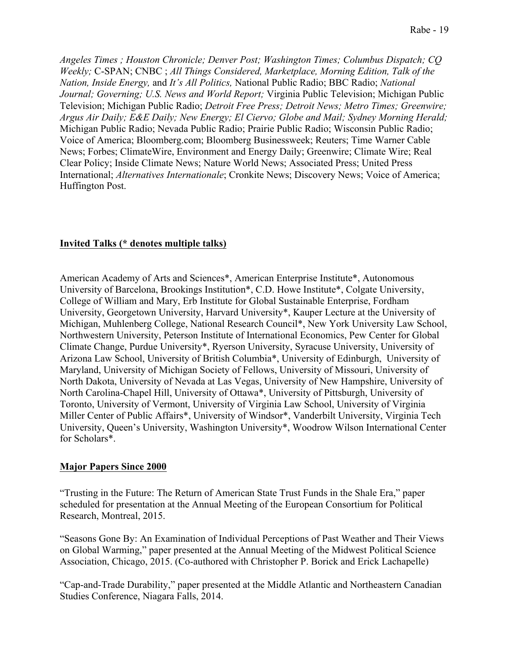*Angeles Times ; Houston Chronicle; Denver Post; Washington Times; Columbus Dispatch; CQ Weekly;* C-SPAN; CNBC ; *All Things Considered, Marketplace, Morning Edition, Talk of the Nation, Inside Energy,* and *It's All Politics,* National Public Radio; BBC Radio; *National Journal; Governing; U.S. News and World Report;* Virginia Public Television; Michigan Public Television; Michigan Public Radio; *Detroit Free Press; Detroit News; Metro Times; Greenwire; Argus Air Daily; E&E Daily; New Energy; El Ciervo; Globe and Mail; Sydney Morning Herald;* Michigan Public Radio; Nevada Public Radio; Prairie Public Radio; Wisconsin Public Radio; Voice of America; Bloomberg.com; Bloomberg Businessweek; Reuters; Time Warner Cable News; Forbes; ClimateWire, Environment and Energy Daily; Greenwire; Climate Wire; Real Clear Policy; Inside Climate News; Nature World News; Associated Press; United Press International; *Alternatives Internationale*; Cronkite News; Discovery News; Voice of America; Huffington Post.

## **Invited Talks (\* denotes multiple talks)**

American Academy of Arts and Sciences\*, American Enterprise Institute\*, Autonomous University of Barcelona, Brookings Institution\*, C.D. Howe Institute\*, Colgate University, College of William and Mary, Erb Institute for Global Sustainable Enterprise, Fordham University, Georgetown University, Harvard University\*, Kauper Lecture at the University of Michigan, Muhlenberg College, National Research Council\*, New York University Law School, Northwestern University, Peterson Institute of International Economics, Pew Center for Global Climate Change, Purdue University\*, Ryerson University, Syracuse University, University of Arizona Law School, University of British Columbia\*, University of Edinburgh, University of Maryland, University of Michigan Society of Fellows, University of Missouri, University of North Dakota, University of Nevada at Las Vegas, University of New Hampshire, University of North Carolina-Chapel Hill, University of Ottawa\*, University of Pittsburgh, University of Toronto, University of Vermont, University of Virginia Law School, University of Virginia Miller Center of Public Affairs\*, University of Windsor\*, Vanderbilt University, Virginia Tech University, Queen's University, Washington University\*, Woodrow Wilson International Center for Scholars\*.

#### **Major Papers Since 2000**

"Trusting in the Future: The Return of American State Trust Funds in the Shale Era," paper scheduled for presentation at the Annual Meeting of the European Consortium for Political Research, Montreal, 2015.

"Seasons Gone By: An Examination of Individual Perceptions of Past Weather and Their Views on Global Warming," paper presented at the Annual Meeting of the Midwest Political Science Association, Chicago, 2015. (Co-authored with Christopher P. Borick and Erick Lachapelle)

"Cap-and-Trade Durability," paper presented at the Middle Atlantic and Northeastern Canadian Studies Conference, Niagara Falls, 2014.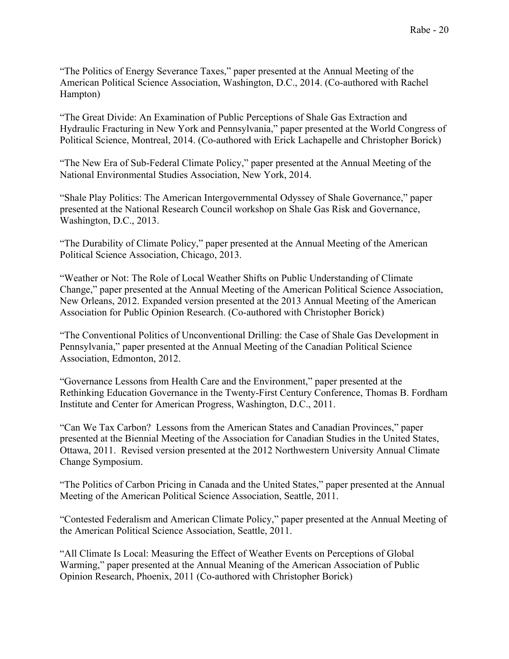"The Politics of Energy Severance Taxes," paper presented at the Annual Meeting of the American Political Science Association, Washington, D.C., 2014. (Co-authored with Rachel Hampton)

"The Great Divide: An Examination of Public Perceptions of Shale Gas Extraction and Hydraulic Fracturing in New York and Pennsylvania," paper presented at the World Congress of Political Science, Montreal, 2014. (Co-authored with Erick Lachapelle and Christopher Borick)

"The New Era of Sub-Federal Climate Policy," paper presented at the Annual Meeting of the National Environmental Studies Association, New York, 2014.

"Shale Play Politics: The American Intergovernmental Odyssey of Shale Governance," paper presented at the National Research Council workshop on Shale Gas Risk and Governance, Washington, D.C., 2013.

"The Durability of Climate Policy," paper presented at the Annual Meeting of the American Political Science Association, Chicago, 2013.

"Weather or Not: The Role of Local Weather Shifts on Public Understanding of Climate Change," paper presented at the Annual Meeting of the American Political Science Association, New Orleans, 2012. Expanded version presented at the 2013 Annual Meeting of the American Association for Public Opinion Research. (Co-authored with Christopher Borick)

"The Conventional Politics of Unconventional Drilling: the Case of Shale Gas Development in Pennsylvania," paper presented at the Annual Meeting of the Canadian Political Science Association, Edmonton, 2012.

"Governance Lessons from Health Care and the Environment," paper presented at the Rethinking Education Governance in the Twenty-First Century Conference, Thomas B. Fordham Institute and Center for American Progress, Washington, D.C., 2011.

"Can We Tax Carbon? Lessons from the American States and Canadian Provinces," paper presented at the Biennial Meeting of the Association for Canadian Studies in the United States, Ottawa, 2011. Revised version presented at the 2012 Northwestern University Annual Climate Change Symposium.

"The Politics of Carbon Pricing in Canada and the United States," paper presented at the Annual Meeting of the American Political Science Association, Seattle, 2011.

"Contested Federalism and American Climate Policy," paper presented at the Annual Meeting of the American Political Science Association, Seattle, 2011.

"All Climate Is Local: Measuring the Effect of Weather Events on Perceptions of Global Warming," paper presented at the Annual Meaning of the American Association of Public Opinion Research, Phoenix, 2011 (Co-authored with Christopher Borick)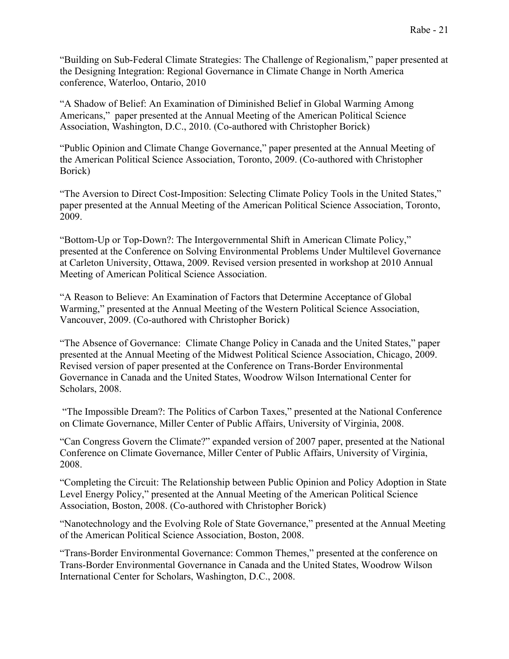"Building on Sub-Federal Climate Strategies: The Challenge of Regionalism," paper presented at the Designing Integration: Regional Governance in Climate Change in North America conference, Waterloo, Ontario, 2010

"A Shadow of Belief: An Examination of Diminished Belief in Global Warming Among Americans," paper presented at the Annual Meeting of the American Political Science Association, Washington, D.C., 2010. (Co-authored with Christopher Borick)

"Public Opinion and Climate Change Governance," paper presented at the Annual Meeting of the American Political Science Association, Toronto, 2009. (Co-authored with Christopher Borick)

"The Aversion to Direct Cost-Imposition: Selecting Climate Policy Tools in the United States," paper presented at the Annual Meeting of the American Political Science Association, Toronto, 2009.

"Bottom-Up or Top-Down?: The Intergovernmental Shift in American Climate Policy," presented at the Conference on Solving Environmental Problems Under Multilevel Governance at Carleton University, Ottawa, 2009. Revised version presented in workshop at 2010 Annual Meeting of American Political Science Association.

"A Reason to Believe: An Examination of Factors that Determine Acceptance of Global Warming," presented at the Annual Meeting of the Western Political Science Association, Vancouver, 2009. (Co-authored with Christopher Borick)

"The Absence of Governance: Climate Change Policy in Canada and the United States," paper presented at the Annual Meeting of the Midwest Political Science Association, Chicago, 2009. Revised version of paper presented at the Conference on Trans-Border Environmental Governance in Canada and the United States, Woodrow Wilson International Center for Scholars, 2008.

"The Impossible Dream?: The Politics of Carbon Taxes," presented at the National Conference on Climate Governance, Miller Center of Public Affairs, University of Virginia, 2008.

"Can Congress Govern the Climate?" expanded version of 2007 paper, presented at the National Conference on Climate Governance, Miller Center of Public Affairs, University of Virginia, 2008.

"Completing the Circuit: The Relationship between Public Opinion and Policy Adoption in State Level Energy Policy," presented at the Annual Meeting of the American Political Science Association, Boston, 2008. (Co-authored with Christopher Borick)

"Nanotechnology and the Evolving Role of State Governance," presented at the Annual Meeting of the American Political Science Association, Boston, 2008.

"Trans-Border Environmental Governance: Common Themes," presented at the conference on Trans-Border Environmental Governance in Canada and the United States, Woodrow Wilson International Center for Scholars, Washington, D.C., 2008.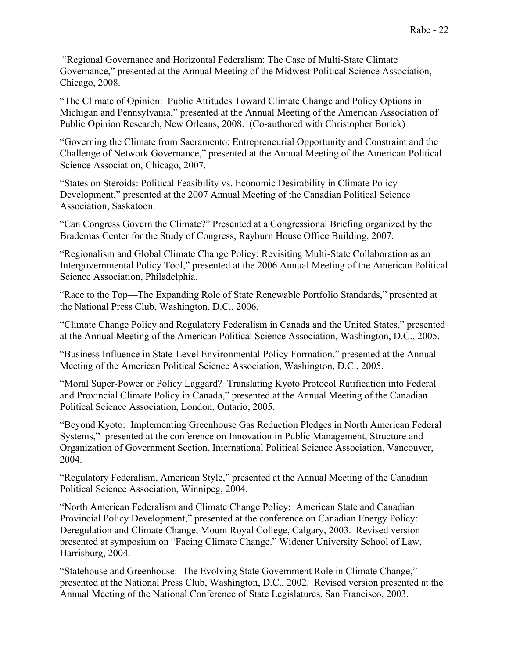"Regional Governance and Horizontal Federalism: The Case of Multi-State Climate Governance," presented at the Annual Meeting of the Midwest Political Science Association, Chicago, 2008.

"The Climate of Opinion: Public Attitudes Toward Climate Change and Policy Options in Michigan and Pennsylvania," presented at the Annual Meeting of the American Association of Public Opinion Research, New Orleans, 2008. (Co-authored with Christopher Borick)

"Governing the Climate from Sacramento: Entrepreneurial Opportunity and Constraint and the Challenge of Network Governance," presented at the Annual Meeting of the American Political Science Association, Chicago, 2007.

"States on Steroids: Political Feasibility vs. Economic Desirability in Climate Policy Development," presented at the 2007 Annual Meeting of the Canadian Political Science Association, Saskatoon.

"Can Congress Govern the Climate?" Presented at a Congressional Briefing organized by the Brademas Center for the Study of Congress, Rayburn House Office Building, 2007.

"Regionalism and Global Climate Change Policy: Revisiting Multi-State Collaboration as an Intergovernmental Policy Tool," presented at the 2006 Annual Meeting of the American Political Science Association, Philadelphia.

"Race to the Top—The Expanding Role of State Renewable Portfolio Standards," presented at the National Press Club, Washington, D.C., 2006.

"Climate Change Policy and Regulatory Federalism in Canada and the United States," presented at the Annual Meeting of the American Political Science Association, Washington, D.C., 2005.

"Business Influence in State-Level Environmental Policy Formation," presented at the Annual Meeting of the American Political Science Association, Washington, D.C., 2005.

"Moral Super-Power or Policy Laggard? Translating Kyoto Protocol Ratification into Federal and Provincial Climate Policy in Canada," presented at the Annual Meeting of the Canadian Political Science Association, London, Ontario, 2005.

"Beyond Kyoto: Implementing Greenhouse Gas Reduction Pledges in North American Federal Systems," presented at the conference on Innovation in Public Management, Structure and Organization of Government Section, International Political Science Association, Vancouver, 2004.

"Regulatory Federalism, American Style," presented at the Annual Meeting of the Canadian Political Science Association, Winnipeg, 2004.

"North American Federalism and Climate Change Policy: American State and Canadian Provincial Policy Development," presented at the conference on Canadian Energy Policy: Deregulation and Climate Change, Mount Royal College, Calgary, 2003. Revised version presented at symposium on "Facing Climate Change." Widener University School of Law, Harrisburg, 2004.

"Statehouse and Greenhouse: The Evolving State Government Role in Climate Change," presented at the National Press Club, Washington, D.C., 2002. Revised version presented at the Annual Meeting of the National Conference of State Legislatures, San Francisco, 2003.